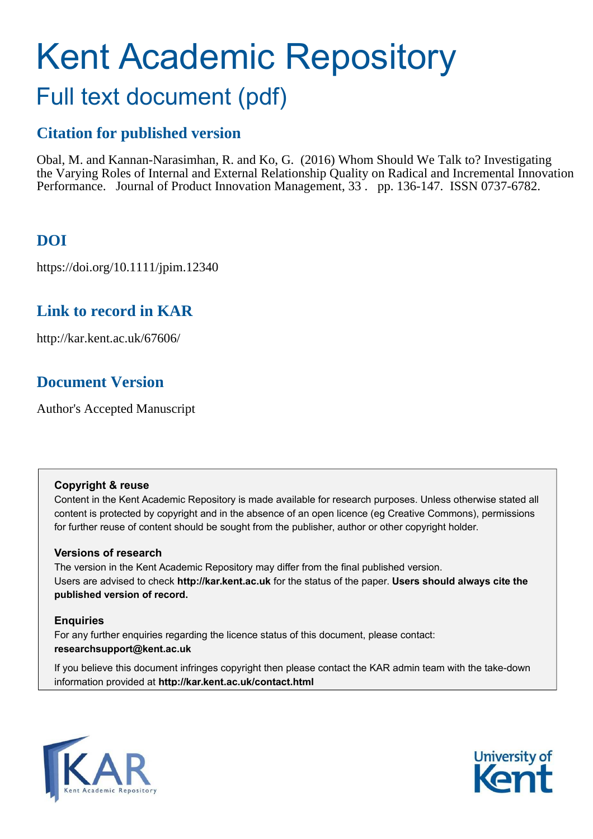# Kent Academic Repository Full text document (pdf)

# **Citation for published version**

Obal, M. and Kannan-Narasimhan, R. and Ko, G. (2016) Whom Should We Talk to? Investigating the Varying Roles of Internal and External Relationship Quality on Radical and Incremental Innovation Performance. Journal of Product Innovation Management, 33 . pp. 136-147. ISSN 0737-6782.

# **DOI**

https://doi.org/10.1111/jpim.12340

# **Link to record in KAR**

http://kar.kent.ac.uk/67606/

# **Document Version**

Author's Accepted Manuscript

## **Copyright & reuse**

Content in the Kent Academic Repository is made available for research purposes. Unless otherwise stated all content is protected by copyright and in the absence of an open licence (eg Creative Commons), permissions for further reuse of content should be sought from the publisher, author or other copyright holder.

# **Versions of research**

The version in the Kent Academic Repository may differ from the final published version. Users are advised to check **http://kar.kent.ac.uk** for the status of the paper. **Users should always cite the published version of record.**

# **Enquiries**

For any further enquiries regarding the licence status of this document, please contact: **researchsupport@kent.ac.uk**

If you believe this document infringes copyright then please contact the KAR admin team with the take-down information provided at **http://kar.kent.ac.uk/contact.html**



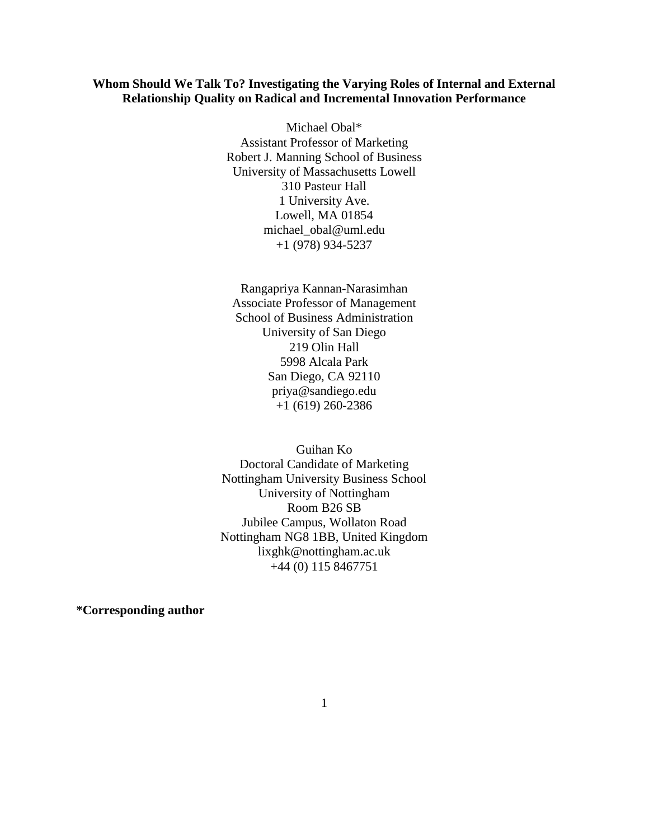#### **Whom Should We Talk To? Investigating the Varying Roles of Internal and External Relationship Quality on Radical and Incremental Innovation Performance**

Michael Obal\* Assistant Professor of Marketing Robert J. Manning School of Business University of Massachusetts Lowell 310 Pasteur Hall 1 University Ave. Lowell, MA 01854 michael\_obal@uml.edu +1 (978) 934-5237

Rangapriya Kannan-Narasimhan Associate Professor of Management School of Business Administration University of San Diego 219 Olin Hall 5998 Alcala Park San Diego, CA 92110 priya@sandiego.edu +1 (619) 260-2386

Guihan Ko Doctoral Candidate of Marketing Nottingham University Business School University of Nottingham Room B26 SB Jubilee Campus, Wollaton Road Nottingham NG8 1BB, United Kingdom lixghk@nottingham.ac.uk +44 (0) 115 8467751

**\*Corresponding author**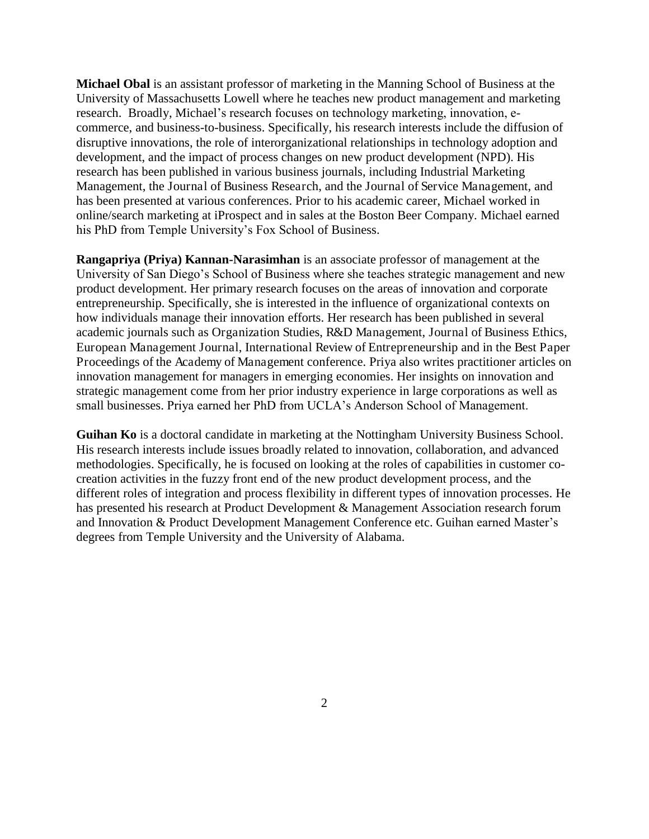**Michael Obal** is an assistant professor of marketing in the Manning School of Business at the University of Massachusetts Lowell where he teaches new product management and marketing research. Broadly, Michael's research focuses on technology marketing, innovation, ecommerce, and business-to-business. Specifically, his research interests include the diffusion of disruptive innovations, the role of interorganizational relationships in technology adoption and development, and the impact of process changes on new product development (NPD). His research has been published in various business journals, including Industrial Marketing Management, the Journal of Business Research, and the Journal of Service Management, and has been presented at various conferences. Prior to his academic career, Michael worked in online/search marketing at iProspect and in sales at the Boston Beer Company. Michael earned his PhD from Temple University's Fox School of Business.

**Rangapriya (Priya) Kannan-Narasimhan** is an associate professor of management at the University of San Diego's School of Business where she teaches strategic management and new product development. Her primary research focuses on the areas of innovation and corporate entrepreneurship. Specifically, she is interested in the influence of organizational contexts on how individuals manage their innovation efforts. Her research has been published in several academic journals such as Organization Studies, R&D Management, Journal of Business Ethics, European Management Journal, International Review of Entrepreneurship and in the Best Paper Proceedings of the Academy of Management conference. Priya also writes practitioner articles on innovation management for managers in emerging economies. Her insights on innovation and strategic management come from her prior industry experience in large corporations as well as small businesses. Priya earned her PhD from UCLA's Anderson School of Management.

**Guihan Ko** is a doctoral candidate in marketing at the Nottingham University Business School. His research interests include issues broadly related to innovation, collaboration, and advanced methodologies. Specifically, he is focused on looking at the roles of capabilities in customer cocreation activities in the fuzzy front end of the new product development process, and the different roles of integration and process flexibility in different types of innovation processes. He has presented his research at Product Development & Management Association research forum and Innovation & Product Development Management Conference etc. Guihan earned Master's degrees from Temple University and the University of Alabama.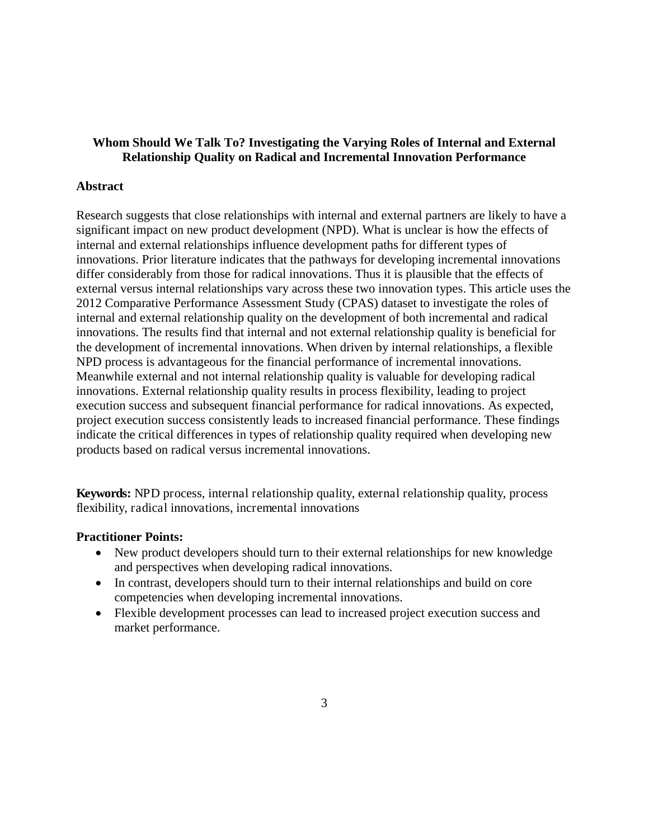# **Whom Should We Talk To? Investigating the Varying Roles of Internal and External Relationship Quality on Radical and Incremental Innovation Performance**

## **Abstract**

Research suggests that close relationships with internal and external partners are likely to have a significant impact on new product development (NPD). What is unclear is how the effects of internal and external relationships influence development paths for different types of innovations. Prior literature indicates that the pathways for developing incremental innovations differ considerably from those for radical innovations. Thus it is plausible that the effects of external versus internal relationships vary across these two innovation types. This article uses the 2012 Comparative Performance Assessment Study (CPAS) dataset to investigate the roles of internal and external relationship quality on the development of both incremental and radical innovations. The results find that internal and not external relationship quality is beneficial for the development of incremental innovations. When driven by internal relationships, a flexible NPD process is advantageous for the financial performance of incremental innovations. Meanwhile external and not internal relationship quality is valuable for developing radical innovations. External relationship quality results in process flexibility, leading to project execution success and subsequent financial performance for radical innovations. As expected, project execution success consistently leads to increased financial performance. These findings indicate the critical differences in types of relationship quality required when developing new products based on radical versus incremental innovations.

**Keywords:** NPD process, internal relationship quality, external relationship quality, process flexibility, radical innovations, incremental innovations

## **Practitioner Points:**

- New product developers should turn to their external relationships for new knowledge and perspectives when developing radical innovations.
- In contrast, developers should turn to their internal relationships and build on core competencies when developing incremental innovations.
- Flexible development processes can lead to increased project execution success and market performance.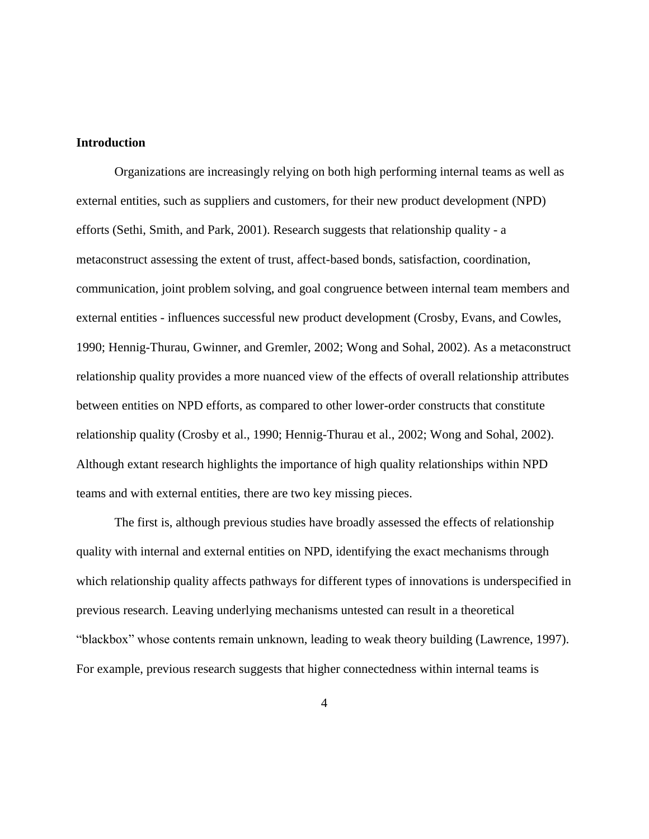#### **Introduction**

Organizations are increasingly relying on both high performing internal teams as well as external entities, such as suppliers and customers, for their new product development (NPD) efforts (Sethi, Smith, and Park, 2001). Research suggests that relationship quality - a metaconstruct assessing the extent of trust, affect-based bonds, satisfaction, coordination, communication, joint problem solving, and goal congruence between internal team members and external entities - influences successful new product development (Crosby, Evans, and Cowles, 1990; Hennig-Thurau, Gwinner, and Gremler, 2002; Wong and Sohal, 2002). As a metaconstruct relationship quality provides a more nuanced view of the effects of overall relationship attributes between entities on NPD efforts, as compared to other lower-order constructs that constitute relationship quality (Crosby et al., 1990; Hennig-Thurau et al., 2002; Wong and Sohal, 2002). Although extant research highlights the importance of high quality relationships within NPD teams and with external entities, there are two key missing pieces.

The first is, although previous studies have broadly assessed the effects of relationship quality with internal and external entities on NPD, identifying the exact mechanisms through which relationship quality affects pathways for different types of innovations is underspecified in previous research. Leaving underlying mechanisms untested can result in a theoretical "blackbox" whose contents remain unknown, leading to weak theory building (Lawrence, 1997). For example, previous research suggests that higher connectedness within internal teams is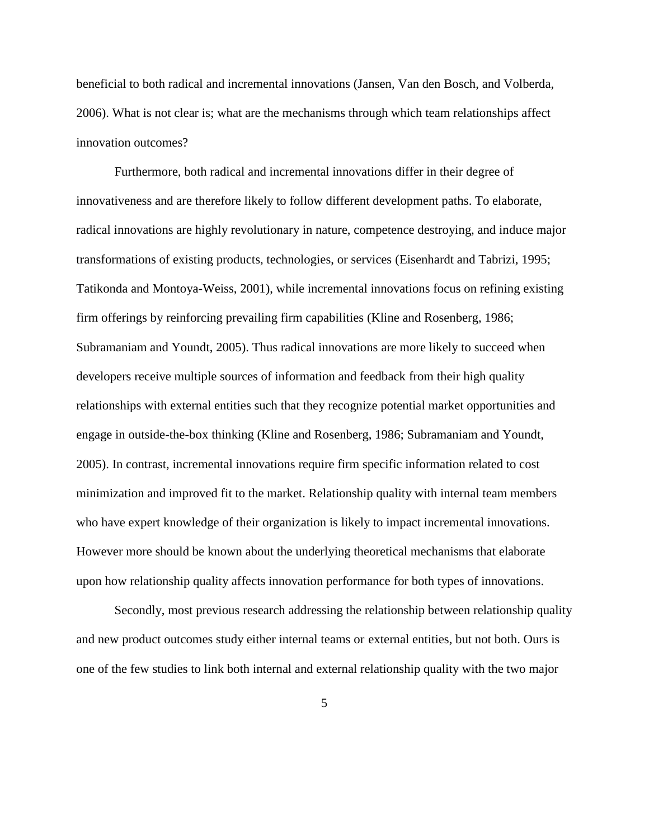beneficial to both radical and incremental innovations (Jansen, Van den Bosch, and Volberda, 2006). What is not clear is; what are the mechanisms through which team relationships affect innovation outcomes?

Furthermore, both radical and incremental innovations differ in their degree of innovativeness and are therefore likely to follow different development paths. To elaborate, radical innovations are highly revolutionary in nature, competence destroying, and induce major transformations of existing products, technologies, or services (Eisenhardt and Tabrizi, 1995; Tatikonda and Montoya-Weiss, 2001), while incremental innovations focus on refining existing firm offerings by reinforcing prevailing firm capabilities (Kline and Rosenberg, 1986; Subramaniam and Youndt, 2005). Thus radical innovations are more likely to succeed when developers receive multiple sources of information and feedback from their high quality relationships with external entities such that they recognize potential market opportunities and engage in outside-the-box thinking (Kline and Rosenberg, 1986; Subramaniam and Youndt, 2005). In contrast, incremental innovations require firm specific information related to cost minimization and improved fit to the market. Relationship quality with internal team members who have expert knowledge of their organization is likely to impact incremental innovations. However more should be known about the underlying theoretical mechanisms that elaborate upon how relationship quality affects innovation performance for both types of innovations.

Secondly, most previous research addressing the relationship between relationship quality and new product outcomes study either internal teams or external entities, but not both. Ours is one of the few studies to link both internal and external relationship quality with the two major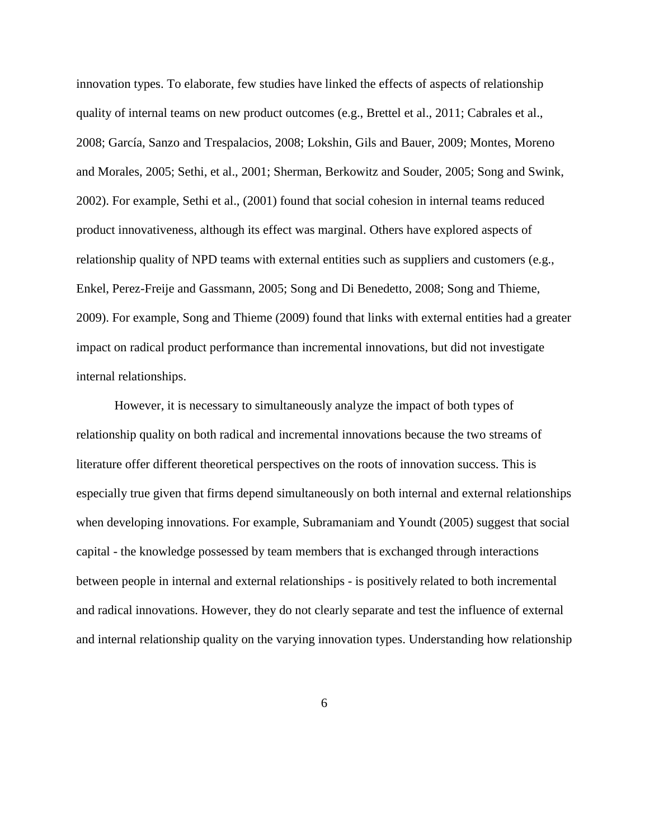innovation types. To elaborate, few studies have linked the effects of aspects of relationship quality of internal teams on new product outcomes (e.g., Brettel et al., 2011; Cabrales et al., 2008; García, Sanzo and Trespalacios, 2008; Lokshin, Gils and Bauer, 2009; Montes, Moreno and Morales, 2005; Sethi, et al., 2001; Sherman, Berkowitz and Souder, 2005; Song and Swink, 2002). For example, Sethi et al., (2001) found that social cohesion in internal teams reduced product innovativeness, although its effect was marginal. Others have explored aspects of relationship quality of NPD teams with external entities such as suppliers and customers (e.g., Enkel, Perez-Freije and Gassmann, 2005; Song and Di Benedetto, 2008; Song and Thieme, 2009). For example, Song and Thieme (2009) found that links with external entities had a greater impact on radical product performance than incremental innovations, but did not investigate internal relationships.

However, it is necessary to simultaneously analyze the impact of both types of relationship quality on both radical and incremental innovations because the two streams of literature offer different theoretical perspectives on the roots of innovation success. This is especially true given that firms depend simultaneously on both internal and external relationships when developing innovations. For example, Subramaniam and Youndt (2005) suggest that social capital - the knowledge possessed by team members that is exchanged through interactions between people in internal and external relationships - is positively related to both incremental and radical innovations. However, they do not clearly separate and test the influence of external and internal relationship quality on the varying innovation types. Understanding how relationship

6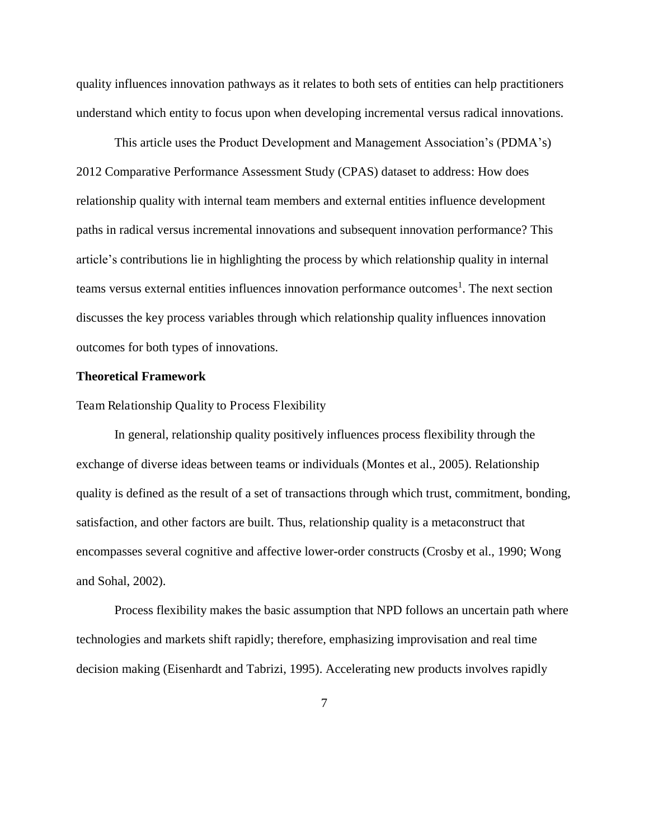quality influences innovation pathways as it relates to both sets of entities can help practitioners understand which entity to focus upon when developing incremental versus radical innovations.

This article uses the Product Development and Management Association's (PDMA's) 2012 Comparative Performance Assessment Study (CPAS) dataset to address: How does relationship quality with internal team members and external entities influence development paths in radical versus incremental innovations and subsequent innovation performance? This article's contributions lie in highlighting the process by which relationship quality in internal teams versus external entities influences innovation performance outcomes<sup>1</sup>. The next section discusses the key process variables through which relationship quality influences innovation outcomes for both types of innovations.

#### **Theoretical Framework**

Team Relationship Quality to Process Flexibility

 In general, relationship quality positively influences process flexibility through the exchange of diverse ideas between teams or individuals (Montes et al., 2005). Relationship quality is defined as the result of a set of transactions through which trust, commitment, bonding, satisfaction, and other factors are built. Thus, relationship quality is a metaconstruct that encompasses several cognitive and affective lower-order constructs (Crosby et al., 1990; Wong and Sohal, 2002).

Process flexibility makes the basic assumption that NPD follows an uncertain path where technologies and markets shift rapidly; therefore, emphasizing improvisation and real time decision making (Eisenhardt and Tabrizi, 1995). Accelerating new products involves rapidly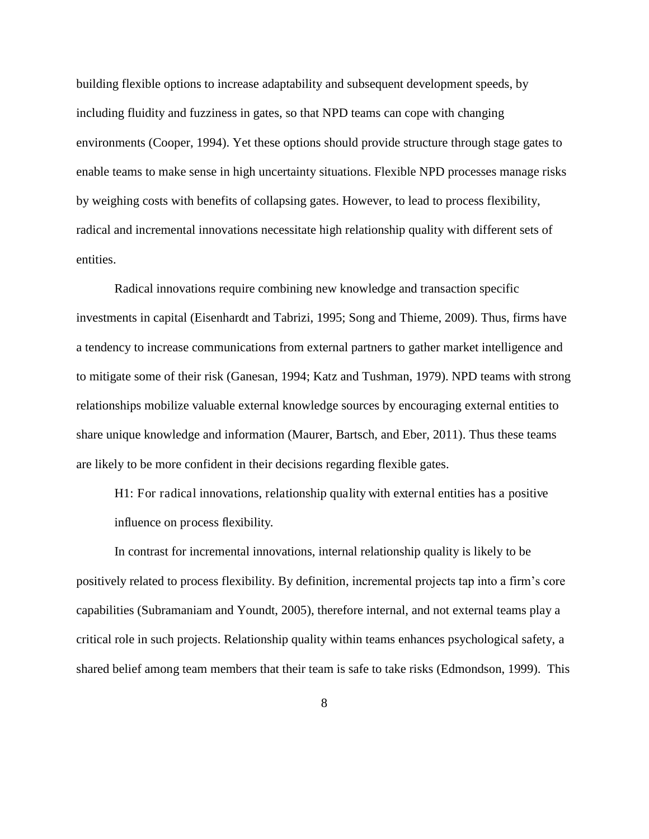building flexible options to increase adaptability and subsequent development speeds, by including fluidity and fuzziness in gates, so that NPD teams can cope with changing environments (Cooper, 1994). Yet these options should provide structure through stage gates to enable teams to make sense in high uncertainty situations. Flexible NPD processes manage risks by weighing costs with benefits of collapsing gates. However, to lead to process flexibility, radical and incremental innovations necessitate high relationship quality with different sets of entities.

Radical innovations require combining new knowledge and transaction specific investments in capital (Eisenhardt and Tabrizi, 1995; Song and Thieme, 2009). Thus, firms have a tendency to increase communications from external partners to gather market intelligence and to mitigate some of their risk (Ganesan, 1994; Katz and Tushman, 1979). NPD teams with strong relationships mobilize valuable external knowledge sources by encouraging external entities to share unique knowledge and information (Maurer, Bartsch, and Eber, 2011). Thus these teams are likely to be more confident in their decisions regarding flexible gates.

H1: For radical innovations, relationship quality with external entities has a positive influence on process flexibility.

 In contrast for incremental innovations, internal relationship quality is likely to be positively related to process flexibility. By definition, incremental projects tap into a firm's core capabilities (Subramaniam and Youndt, 2005), therefore internal, and not external teams play a critical role in such projects. Relationship quality within teams enhances psychological safety, a shared belief among team members that their team is safe to take risks (Edmondson, 1999). This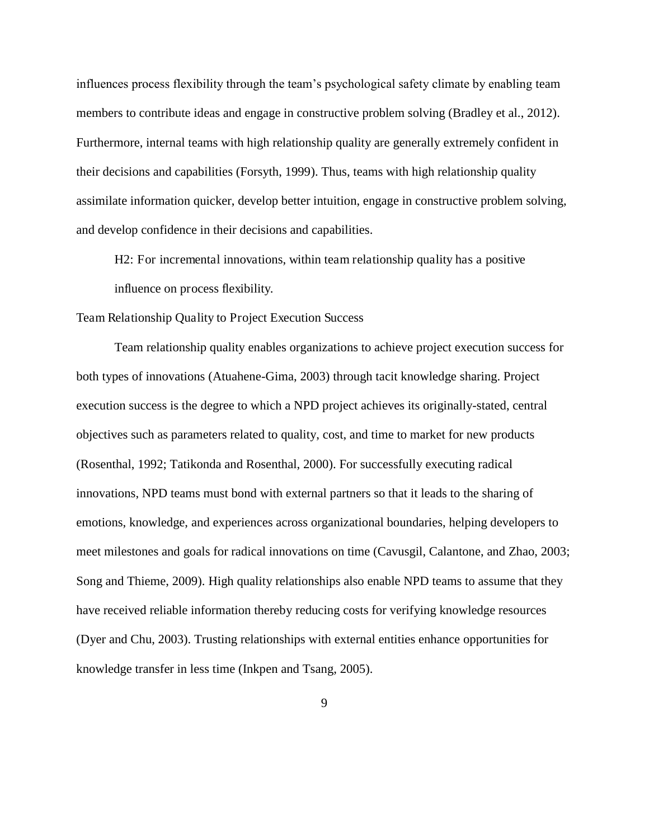influences process flexibility through the team's psychological safety climate by enabling team members to contribute ideas and engage in constructive problem solving (Bradley et al., 2012). Furthermore, internal teams with high relationship quality are generally extremely confident in their decisions and capabilities (Forsyth, 1999). Thus, teams with high relationship quality assimilate information quicker, develop better intuition, engage in constructive problem solving, and develop confidence in their decisions and capabilities.

H2: For incremental innovations, within team relationship quality has a positive influence on process flexibility.

Team Relationship Quality to Project Execution Success

Team relationship quality enables organizations to achieve project execution success for both types of innovations (Atuahene-Gima, 2003) through tacit knowledge sharing. Project execution success is the degree to which a NPD project achieves its originally-stated, central objectives such as parameters related to quality, cost, and time to market for new products (Rosenthal, 1992; Tatikonda and Rosenthal, 2000). For successfully executing radical innovations, NPD teams must bond with external partners so that it leads to the sharing of emotions, knowledge, and experiences across organizational boundaries, helping developers to meet milestones and goals for radical innovations on time (Cavusgil, Calantone, and Zhao, 2003; Song and Thieme, 2009). High quality relationships also enable NPD teams to assume that they have received reliable information thereby reducing costs for verifying knowledge resources (Dyer and Chu, 2003). Trusting relationships with external entities enhance opportunities for knowledge transfer in less time (Inkpen and Tsang, 2005).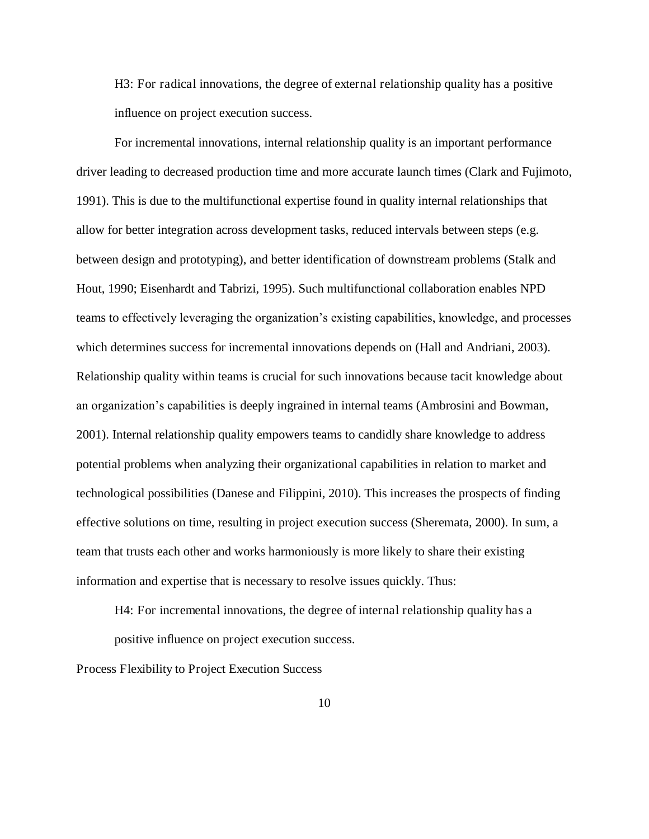H3: For radical innovations, the degree of external relationship quality has a positive influence on project execution success.

For incremental innovations, internal relationship quality is an important performance driver leading to decreased production time and more accurate launch times (Clark and Fujimoto, 1991). This is due to the multifunctional expertise found in quality internal relationships that allow for better integration across development tasks, reduced intervals between steps (e.g. between design and prototyping), and better identification of downstream problems (Stalk and Hout, 1990; Eisenhardt and Tabrizi, 1995). Such multifunctional collaboration enables NPD teams to effectively leveraging the organization's existing capabilities, knowledge, and processes which determines success for incremental innovations depends on (Hall and Andriani, 2003). Relationship quality within teams is crucial for such innovations because tacit knowledge about an organization's capabilities is deeply ingrained in internal teams (Ambrosini and Bowman, 2001). Internal relationship quality empowers teams to candidly share knowledge to address potential problems when analyzing their organizational capabilities in relation to market and technological possibilities (Danese and Filippini, 2010). This increases the prospects of finding effective solutions on time, resulting in project execution success (Sheremata, 2000). In sum, a team that trusts each other and works harmoniously is more likely to share their existing information and expertise that is necessary to resolve issues quickly. Thus:

H4: For incremental innovations, the degree of internal relationship quality has a positive influence on project execution success.

Process Flexibility to Project Execution Success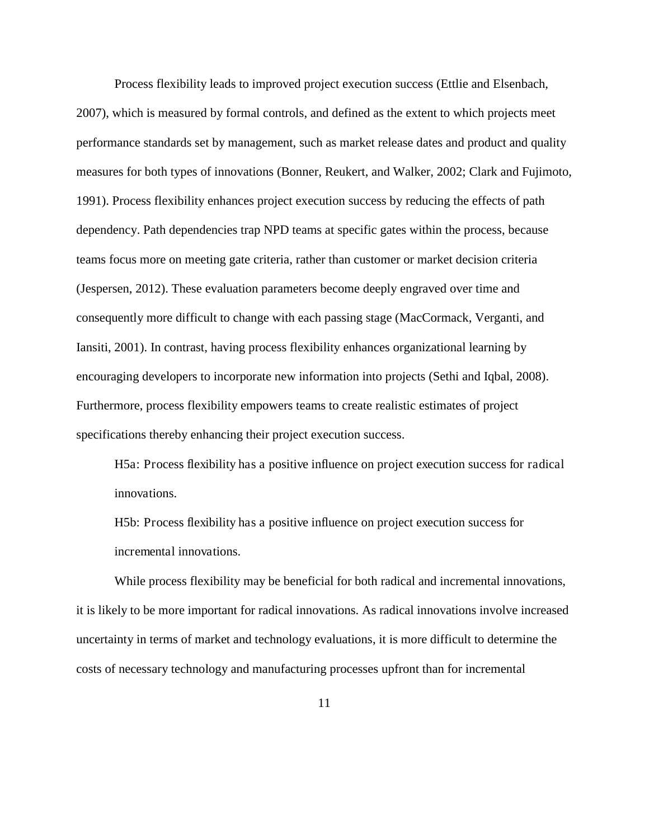Process flexibility leads to improved project execution success (Ettlie and Elsenbach, 2007), which is measured by formal controls, and defined as the extent to which projects meet performance standards set by management, such as market release dates and product and quality measures for both types of innovations (Bonner, Reukert, and Walker, 2002; Clark and Fujimoto, 1991). Process flexibility enhances project execution success by reducing the effects of path dependency. Path dependencies trap NPD teams at specific gates within the process, because teams focus more on meeting gate criteria, rather than customer or market decision criteria (Jespersen, 2012). These evaluation parameters become deeply engraved over time and consequently more difficult to change with each passing stage (MacCormack, Verganti, and Iansiti, 2001). In contrast, having process flexibility enhances organizational learning by encouraging developers to incorporate new information into projects (Sethi and Iqbal, 2008). Furthermore, process flexibility empowers teams to create realistic estimates of project specifications thereby enhancing their project execution success.

H5a: Process flexibility has a positive influence on project execution success for radical innovations.

H5b: Process flexibility has a positive influence on project execution success for incremental innovations.

 While process flexibility may be beneficial for both radical and incremental innovations, it is likely to be more important for radical innovations. As radical innovations involve increased uncertainty in terms of market and technology evaluations, it is more difficult to determine the costs of necessary technology and manufacturing processes upfront than for incremental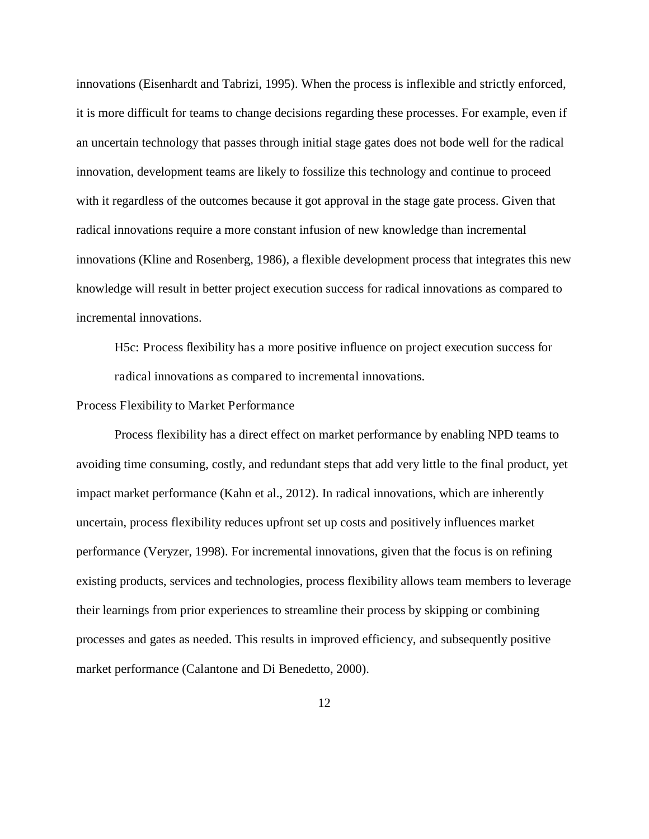innovations (Eisenhardt and Tabrizi, 1995). When the process is inflexible and strictly enforced, it is more difficult for teams to change decisions regarding these processes. For example, even if an uncertain technology that passes through initial stage gates does not bode well for the radical innovation, development teams are likely to fossilize this technology and continue to proceed with it regardless of the outcomes because it got approval in the stage gate process. Given that radical innovations require a more constant infusion of new knowledge than incremental innovations (Kline and Rosenberg, 1986), a flexible development process that integrates this new knowledge will result in better project execution success for radical innovations as compared to incremental innovations.

H5c: Process flexibility has a more positive influence on project execution success for radical innovations as compared to incremental innovations.

#### Process Flexibility to Market Performance

Process flexibility has a direct effect on market performance by enabling NPD teams to avoiding time consuming, costly, and redundant steps that add very little to the final product, yet impact market performance (Kahn et al., 2012). In radical innovations, which are inherently uncertain, process flexibility reduces upfront set up costs and positively influences market performance (Veryzer, 1998). For incremental innovations, given that the focus is on refining existing products, services and technologies, process flexibility allows team members to leverage their learnings from prior experiences to streamline their process by skipping or combining processes and gates as needed. This results in improved efficiency, and subsequently positive market performance (Calantone and Di Benedetto, 2000).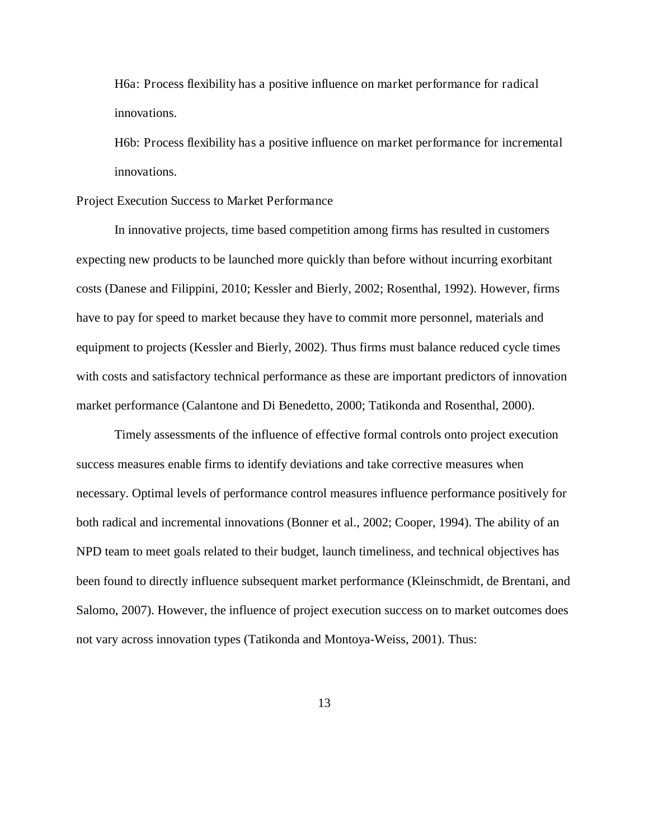H6a: Process flexibility has a positive influence on market performance for radical innovations.

H6b: Process flexibility has a positive influence on market performance for incremental innovations.

#### Project Execution Success to Market Performance

In innovative projects, time based competition among firms has resulted in customers expecting new products to be launched more quickly than before without incurring exorbitant costs (Danese and Filippini, 2010; Kessler and Bierly, 2002; Rosenthal, 1992). However, firms have to pay for speed to market because they have to commit more personnel, materials and equipment to projects (Kessler and Bierly, 2002). Thus firms must balance reduced cycle times with costs and satisfactory technical performance as these are important predictors of innovation market performance (Calantone and Di Benedetto, 2000; Tatikonda and Rosenthal, 2000).

Timely assessments of the influence of effective formal controls onto project execution success measures enable firms to identify deviations and take corrective measures when necessary. Optimal levels of performance control measures influence performance positively for both radical and incremental innovations (Bonner et al., 2002; Cooper, 1994). The ability of an NPD team to meet goals related to their budget, launch timeliness, and technical objectives has been found to directly influence subsequent market performance (Kleinschmidt, de Brentani, and Salomo, 2007). However, the influence of project execution success on to market outcomes does not vary across innovation types (Tatikonda and Montoya-Weiss, 2001). Thus: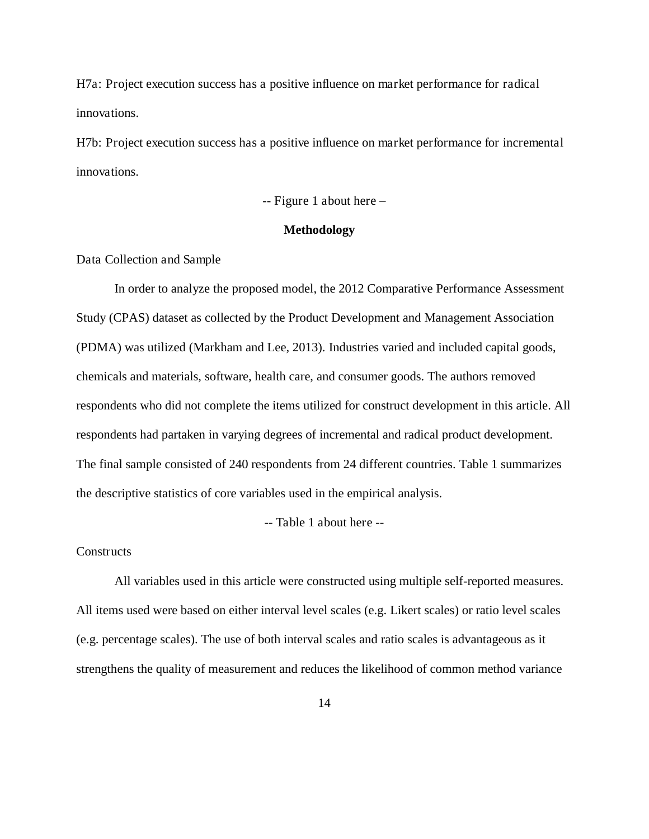H7a: Project execution success has a positive influence on market performance for radical innovations.

H7b: Project execution success has a positive influence on market performance for incremental innovations.

-- Figure 1 about here *–*

#### **Methodology**

Data Collection and Sample

In order to analyze the proposed model, the 2012 Comparative Performance Assessment Study (CPAS) dataset as collected by the Product Development and Management Association (PDMA) was utilized (Markham and Lee, 2013). Industries varied and included capital goods, chemicals and materials, software, health care, and consumer goods. The authors removed respondents who did not complete the items utilized for construct development in this article. All respondents had partaken in varying degrees of incremental and radical product development. The final sample consisted of 240 respondents from 24 different countries. Table 1 summarizes the descriptive statistics of core variables used in the empirical analysis.

-- Table 1 about here --

#### **Constructs**

All variables used in this article were constructed using multiple self-reported measures. All items used were based on either interval level scales (e.g. Likert scales) or ratio level scales (e.g. percentage scales). The use of both interval scales and ratio scales is advantageous as it strengthens the quality of measurement and reduces the likelihood of common method variance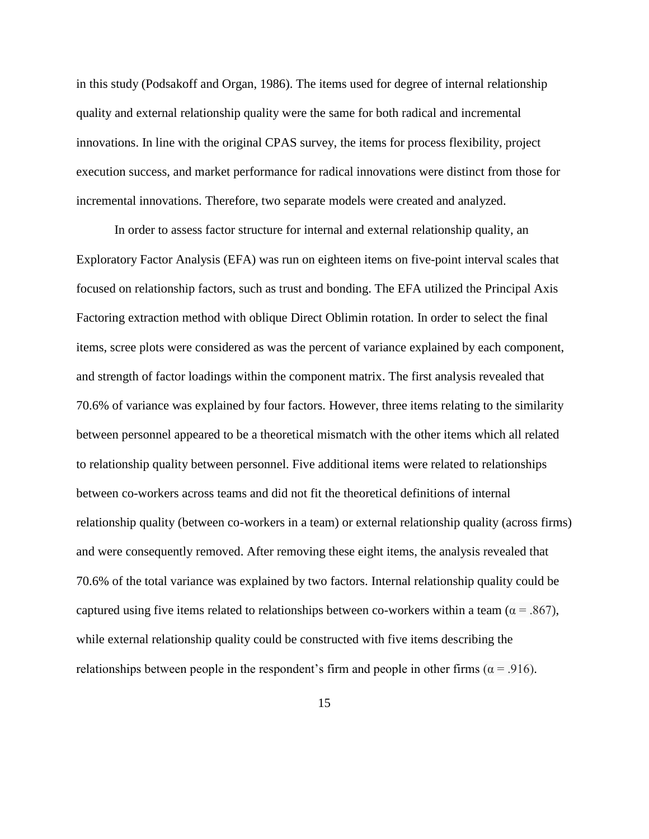in this study (Podsakoff and Organ, 1986). The items used for degree of internal relationship quality and external relationship quality were the same for both radical and incremental innovations. In line with the original CPAS survey, the items for process flexibility, project execution success, and market performance for radical innovations were distinct from those for incremental innovations. Therefore, two separate models were created and analyzed.

In order to assess factor structure for internal and external relationship quality, an Exploratory Factor Analysis (EFA) was run on eighteen items on five-point interval scales that focused on relationship factors, such as trust and bonding. The EFA utilized the Principal Axis Factoring extraction method with oblique Direct Oblimin rotation. In order to select the final items, scree plots were considered as was the percent of variance explained by each component, and strength of factor loadings within the component matrix. The first analysis revealed that 70.6% of variance was explained by four factors. However, three items relating to the similarity between personnel appeared to be a theoretical mismatch with the other items which all related to relationship quality between personnel. Five additional items were related to relationships between co-workers across teams and did not fit the theoretical definitions of internal relationship quality (between co-workers in a team) or external relationship quality (across firms) and were consequently removed. After removing these eight items, the analysis revealed that 70.6% of the total variance was explained by two factors. Internal relationship quality could be captured using five items related to relationships between co-workers within a team ( $\alpha$  = .867), while external relationship quality could be constructed with five items describing the relationships between people in the respondent's firm and people in other firms ( $\alpha$  = .916).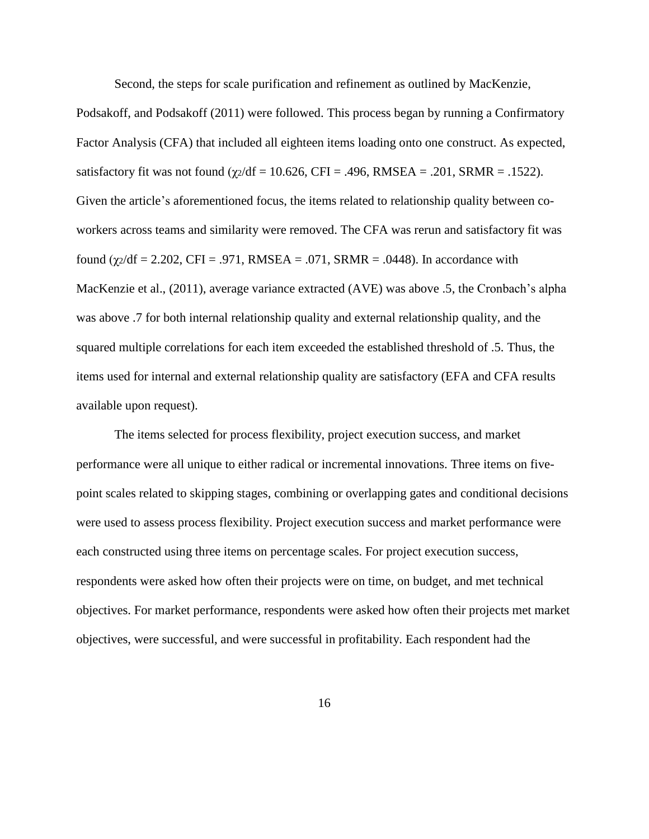Second, the steps for scale purification and refinement as outlined by MacKenzie,

Podsakoff, and Podsakoff (2011) were followed. This process began by running a Confirmatory Factor Analysis (CFA) that included all eighteen items loading onto one construct. As expected, satisfactory fit was not found  $(\gamma_2/df = 10.626, CFI = .496, RMSEA = .201, SRMR = .1522)$ . Given the article's aforementioned focus, the items related to relationship quality between coworkers across teams and similarity were removed. The CFA was rerun and satisfactory fit was found  $(\gamma_2/df = 2.202, CFI = .971, RMSEA = .071, SRMR = .0448)$ . In accordance with MacKenzie et al., (2011), average variance extracted (AVE) was above .5, the Cronbach's alpha was above .7 for both internal relationship quality and external relationship quality, and the squared multiple correlations for each item exceeded the established threshold of .5. Thus, the items used for internal and external relationship quality are satisfactory (EFA and CFA results available upon request).

The items selected for process flexibility, project execution success, and market performance were all unique to either radical or incremental innovations. Three items on fivepoint scales related to skipping stages, combining or overlapping gates and conditional decisions were used to assess process flexibility. Project execution success and market performance were each constructed using three items on percentage scales. For project execution success, respondents were asked how often their projects were on time, on budget, and met technical objectives. For market performance, respondents were asked how often their projects met market objectives, were successful, and were successful in profitability. Each respondent had the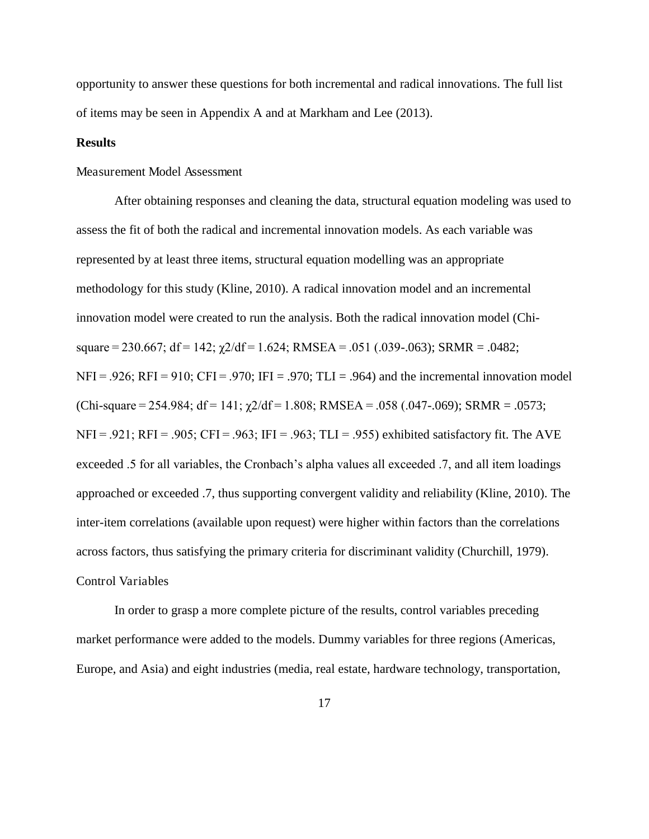opportunity to answer these questions for both incremental and radical innovations. The full list of items may be seen in Appendix A and at Markham and Lee (2013).

#### **Results**

#### Measurement Model Assessment

After obtaining responses and cleaning the data, structural equation modeling was used to assess the fit of both the radical and incremental innovation models. As each variable was represented by at least three items, structural equation modelling was an appropriate methodology for this study (Kline, 2010). A radical innovation model and an incremental innovation model were created to run the analysis. Both the radical innovation model (Chisquare = 230.667; df = 142;  $\chi$ 2/df = 1.624; RMSEA = .051 (.039-.063); SRMR = .0482;  $NFI = .926$ ;  $RFI = 910$ ;  $CFI = .970$ ;  $IFI = .970$ ;  $TLI = .964$ ) and the incremental innovation model (Chi-square = 254.984; df = 141;  $\chi$ 2/df = 1.808; RMSEA = .058 (.047-.069); SRMR = .0573;  $NFI = .921$ ;  $RFI = .905$ ;  $CFI = .963$ ;  $IFI = .963$ ;  $TLI = .955$ ) exhibited satisfactory fit. The AVE exceeded .5 for all variables, the Cronbach's alpha values all exceeded .7, and all item loadings approached or exceeded .7, thus supporting convergent validity and reliability (Kline, 2010). The inter-item correlations (available upon request) were higher within factors than the correlations across factors, thus satisfying the primary criteria for discriminant validity (Churchill, 1979). Control Variables

 In order to grasp a more complete picture of the results, control variables preceding market performance were added to the models. Dummy variables for three regions (Americas, Europe, and Asia) and eight industries (media, real estate, hardware technology, transportation,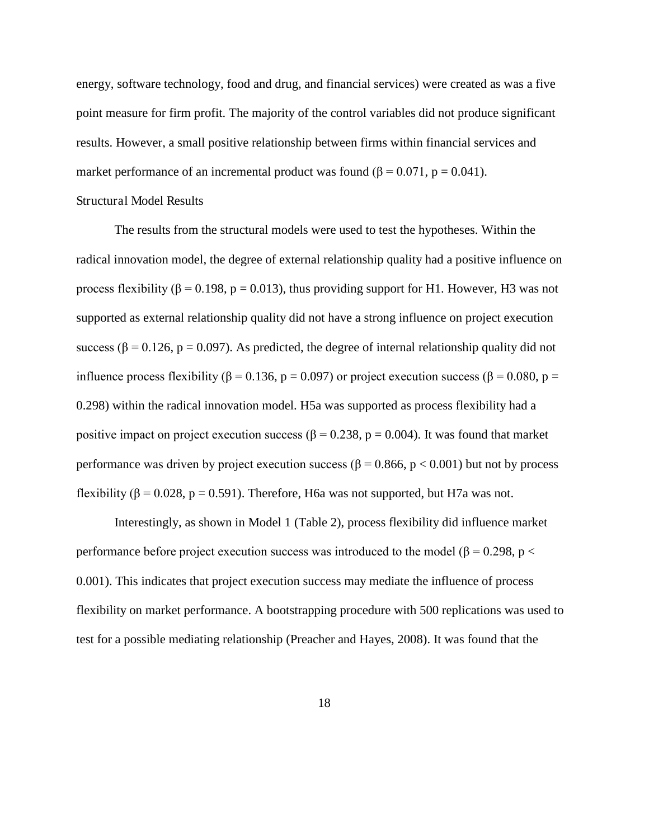energy, software technology, food and drug, and financial services) were created as was a five point measure for firm profit. The majority of the control variables did not produce significant results. However, a small positive relationship between firms within financial services and market performance of an incremental product was found ( $\beta = 0.071$ ,  $p = 0.041$ ). Structural Model Results

The results from the structural models were used to test the hypotheses. Within the radical innovation model, the degree of external relationship quality had a positive influence on process flexibility ( $\beta = 0.198$ ,  $p = 0.013$ ), thus providing support for H1. However, H3 was not supported as external relationship quality did not have a strong influence on project execution success ( $\beta$  = 0.126, p = 0.097). As predicted, the degree of internal relationship quality did not influence process flexibility ( $\beta$  = 0.136, p = 0.097) or project execution success ( $\beta$  = 0.080, p = 0.298) within the radical innovation model. H5a was supported as process flexibility had a positive impact on project execution success ( $\beta = 0.238$ ,  $p = 0.004$ ). It was found that market performance was driven by project execution success ( $\beta$  = 0.866, p < 0.001) but not by process flexibility ( $\beta$  = 0.028, p = 0.591). Therefore, H6a was not supported, but H7a was not.

Interestingly, as shown in Model 1 (Table 2), process flexibility did influence market performance before project execution success was introduced to the model ( $\beta$  = 0.298, p < 0.001). This indicates that project execution success may mediate the influence of process flexibility on market performance. A bootstrapping procedure with 500 replications was used to test for a possible mediating relationship (Preacher and Hayes, 2008). It was found that the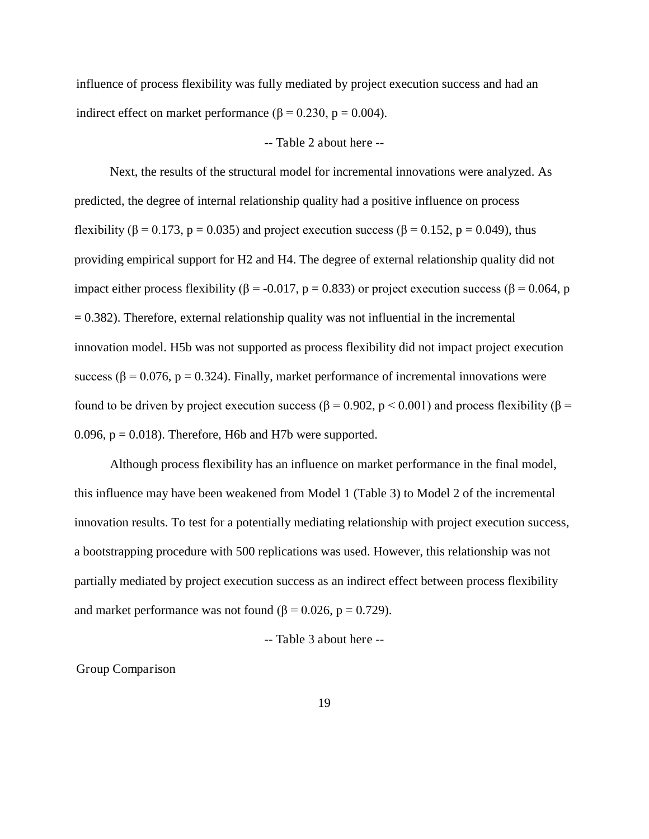influence of process flexibility was fully mediated by project execution success and had an indirect effect on market performance ( $\beta$  = 0.230, p = 0.004).

#### -- Table 2 about here --

Next, the results of the structural model for incremental innovations were analyzed. As predicted, the degree of internal relationship quality had a positive influence on process flexibility ( $\beta$  = 0.173, p = 0.035) and project execution success ( $\beta$  = 0.152, p = 0.049), thus providing empirical support for H2 and H4. The degree of external relationship quality did not impact either process flexibility ( $\beta$  = -0.017, p = 0.833) or project execution success ( $\beta$  = 0.064, p  $= 0.382$ ). Therefore, external relationship quality was not influential in the incremental innovation model. H5b was not supported as process flexibility did not impact project execution success ( $\beta$  = 0.076, p = 0.324). Finally, market performance of incremental innovations were found to be driven by project execution success ( $\beta = 0.902$ ,  $p < 0.001$ ) and process flexibility ( $\beta =$ 0.096,  $p = 0.018$ ). Therefore, H6b and H7b were supported.

Although process flexibility has an influence on market performance in the final model, this influence may have been weakened from Model 1 (Table 3) to Model 2 of the incremental innovation results. To test for a potentially mediating relationship with project execution success, a bootstrapping procedure with 500 replications was used. However, this relationship was not partially mediated by project execution success as an indirect effect between process flexibility and market performance was not found ( $\beta = 0.026$ ,  $p = 0.729$ ).

-- Table 3 about here --

Group Comparison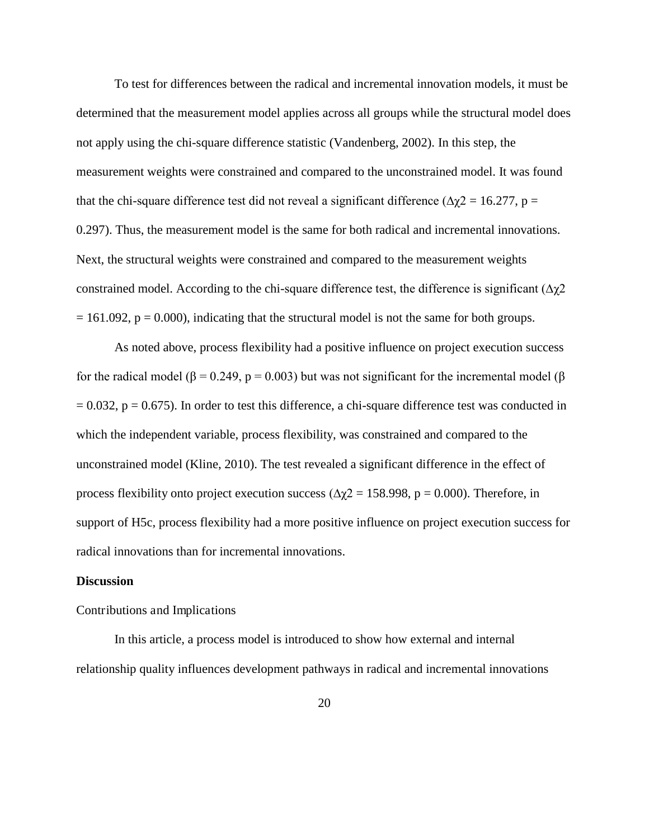To test for differences between the radical and incremental innovation models, it must be determined that the measurement model applies across all groups while the structural model does not apply using the chi-square difference statistic (Vandenberg, 2002). In this step, the measurement weights were constrained and compared to the unconstrained model. It was found that the chi-square difference test did not reveal a significant difference ( $\Delta \chi$ 2 = 16.277, p = 0.297). Thus, the measurement model is the same for both radical and incremental innovations. Next, the structural weights were constrained and compared to the measurement weights constrained model. According to the chi-square difference test, the difference is significant ( $\Delta \chi^2$ )  $= 161.092$ ,  $p = 0.000$ ), indicating that the structural model is not the same for both groups.

As noted above, process flexibility had a positive influence on project execution success for the radical model ( $\beta = 0.249$ ,  $p = 0.003$ ) but was not significant for the incremental model ( $\beta$ )  $= 0.032$ ,  $p = 0.675$ ). In order to test this difference, a chi-square difference test was conducted in which the independent variable, process flexibility, was constrained and compared to the unconstrained model (Kline, 2010). The test revealed a significant difference in the effect of process flexibility onto project execution success ( $\Delta \chi$ 2 = 158.998, p = 0.000). Therefore, in support of H5c, process flexibility had a more positive influence on project execution success for radical innovations than for incremental innovations.

#### **Discussion**

#### Contributions and Implications

In this article, a process model is introduced to show how external and internal relationship quality influences development pathways in radical and incremental innovations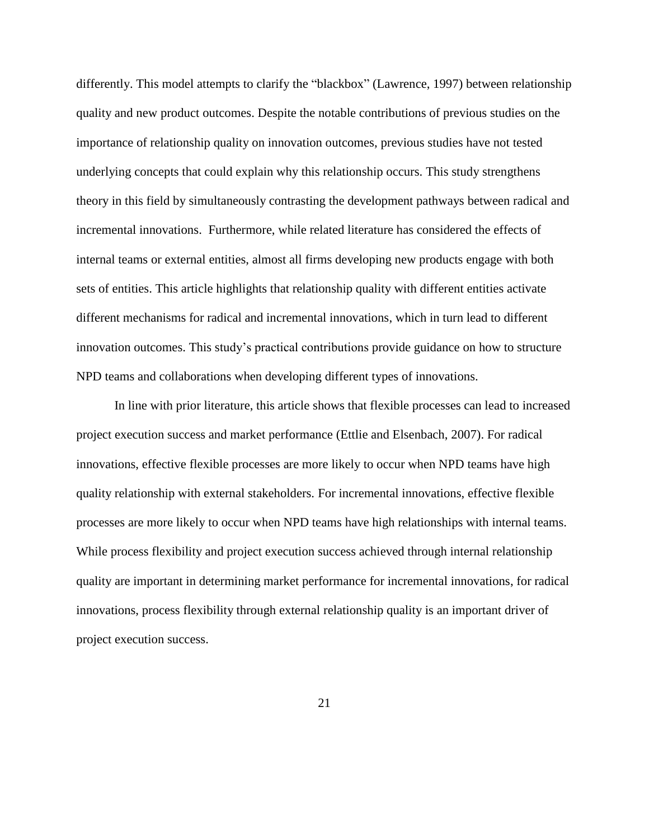differently. This model attempts to clarify the "blackbox" (Lawrence, 1997) between relationship quality and new product outcomes. Despite the notable contributions of previous studies on the importance of relationship quality on innovation outcomes, previous studies have not tested underlying concepts that could explain why this relationship occurs. This study strengthens theory in this field by simultaneously contrasting the development pathways between radical and incremental innovations. Furthermore, while related literature has considered the effects of internal teams or external entities, almost all firms developing new products engage with both sets of entities. This article highlights that relationship quality with different entities activate different mechanisms for radical and incremental innovations, which in turn lead to different innovation outcomes. This study's practical contributions provide guidance on how to structure NPD teams and collaborations when developing different types of innovations.

In line with prior literature, this article shows that flexible processes can lead to increased project execution success and market performance (Ettlie and Elsenbach, 2007). For radical innovations, effective flexible processes are more likely to occur when NPD teams have high quality relationship with external stakeholders. For incremental innovations, effective flexible processes are more likely to occur when NPD teams have high relationships with internal teams. While process flexibility and project execution success achieved through internal relationship quality are important in determining market performance for incremental innovations, for radical innovations, process flexibility through external relationship quality is an important driver of project execution success.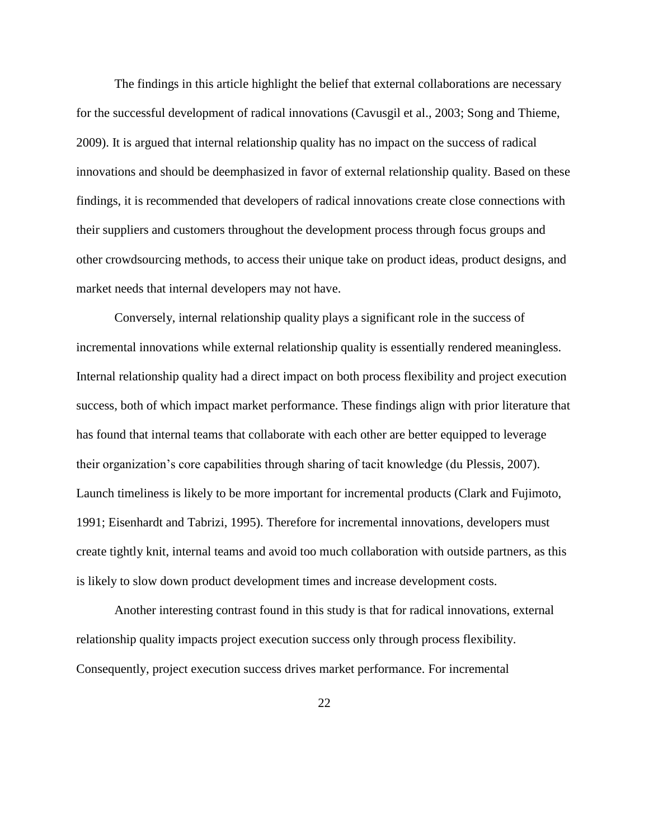The findings in this article highlight the belief that external collaborations are necessary for the successful development of radical innovations (Cavusgil et al., 2003; Song and Thieme, 2009). It is argued that internal relationship quality has no impact on the success of radical innovations and should be deemphasized in favor of external relationship quality. Based on these findings, it is recommended that developers of radical innovations create close connections with their suppliers and customers throughout the development process through focus groups and other crowdsourcing methods, to access their unique take on product ideas, product designs, and market needs that internal developers may not have.

 Conversely, internal relationship quality plays a significant role in the success of incremental innovations while external relationship quality is essentially rendered meaningless. Internal relationship quality had a direct impact on both process flexibility and project execution success, both of which impact market performance. These findings align with prior literature that has found that internal teams that collaborate with each other are better equipped to leverage their organization's core capabilities through sharing of tacit knowledge (du Plessis, 2007). Launch timeliness is likely to be more important for incremental products (Clark and Fujimoto, 1991; Eisenhardt and Tabrizi, 1995). Therefore for incremental innovations, developers must create tightly knit, internal teams and avoid too much collaboration with outside partners, as this is likely to slow down product development times and increase development costs.

Another interesting contrast found in this study is that for radical innovations, external relationship quality impacts project execution success only through process flexibility. Consequently, project execution success drives market performance. For incremental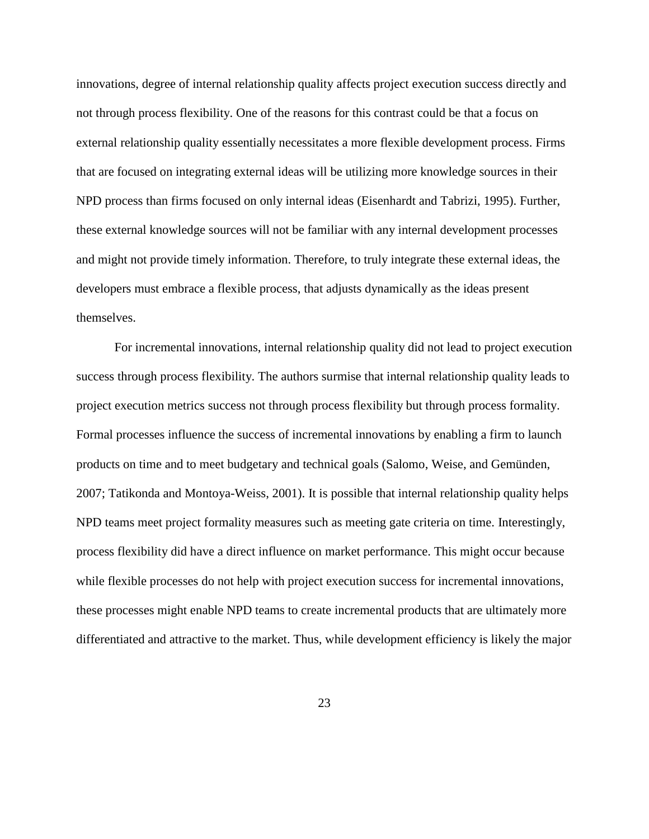innovations, degree of internal relationship quality affects project execution success directly and not through process flexibility. One of the reasons for this contrast could be that a focus on external relationship quality essentially necessitates a more flexible development process. Firms that are focused on integrating external ideas will be utilizing more knowledge sources in their NPD process than firms focused on only internal ideas (Eisenhardt and Tabrizi, 1995). Further, these external knowledge sources will not be familiar with any internal development processes and might not provide timely information. Therefore, to truly integrate these external ideas, the developers must embrace a flexible process, that adjusts dynamically as the ideas present themselves.

For incremental innovations, internal relationship quality did not lead to project execution success through process flexibility. The authors surmise that internal relationship quality leads to project execution metrics success not through process flexibility but through process formality. Formal processes influence the success of incremental innovations by enabling a firm to launch products on time and to meet budgetary and technical goals (Salomo, Weise, and Gemünden, 2007; Tatikonda and Montoya-Weiss, 2001). It is possible that internal relationship quality helps NPD teams meet project formality measures such as meeting gate criteria on time. Interestingly, process flexibility did have a direct influence on market performance. This might occur because while flexible processes do not help with project execution success for incremental innovations, these processes might enable NPD teams to create incremental products that are ultimately more differentiated and attractive to the market. Thus, while development efficiency is likely the major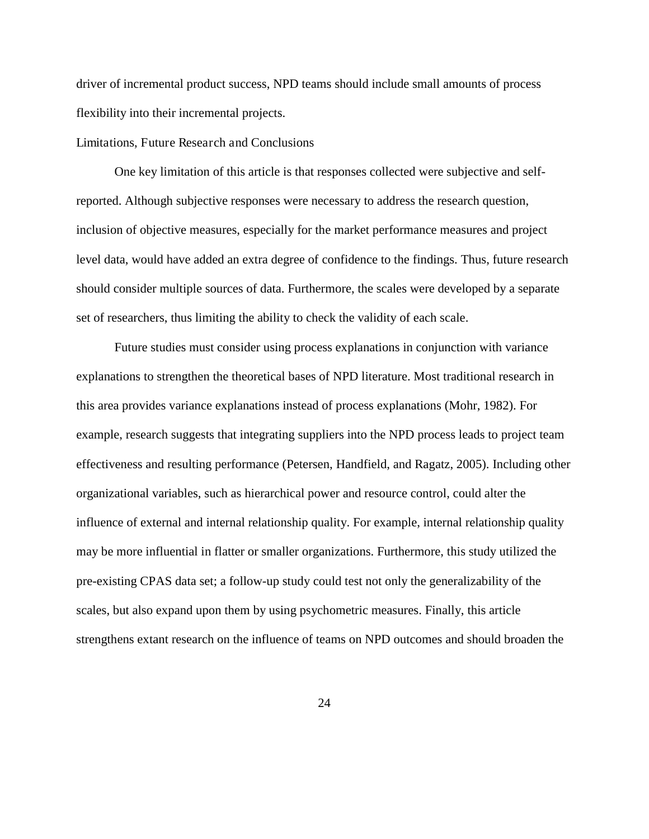driver of incremental product success, NPD teams should include small amounts of process flexibility into their incremental projects.

#### Limitations, Future Research and Conclusions

One key limitation of this article is that responses collected were subjective and selfreported. Although subjective responses were necessary to address the research question, inclusion of objective measures, especially for the market performance measures and project level data, would have added an extra degree of confidence to the findings. Thus, future research should consider multiple sources of data. Furthermore, the scales were developed by a separate set of researchers, thus limiting the ability to check the validity of each scale.

Future studies must consider using process explanations in conjunction with variance explanations to strengthen the theoretical bases of NPD literature. Most traditional research in this area provides variance explanations instead of process explanations (Mohr, 1982). For example, research suggests that integrating suppliers into the NPD process leads to project team effectiveness and resulting performance (Petersen, Handfield, and Ragatz, 2005). Including other organizational variables, such as hierarchical power and resource control, could alter the influence of external and internal relationship quality. For example, internal relationship quality may be more influential in flatter or smaller organizations. Furthermore, this study utilized the pre-existing CPAS data set; a follow-up study could test not only the generalizability of the scales, but also expand upon them by using psychometric measures. Finally, this article strengthens extant research on the influence of teams on NPD outcomes and should broaden the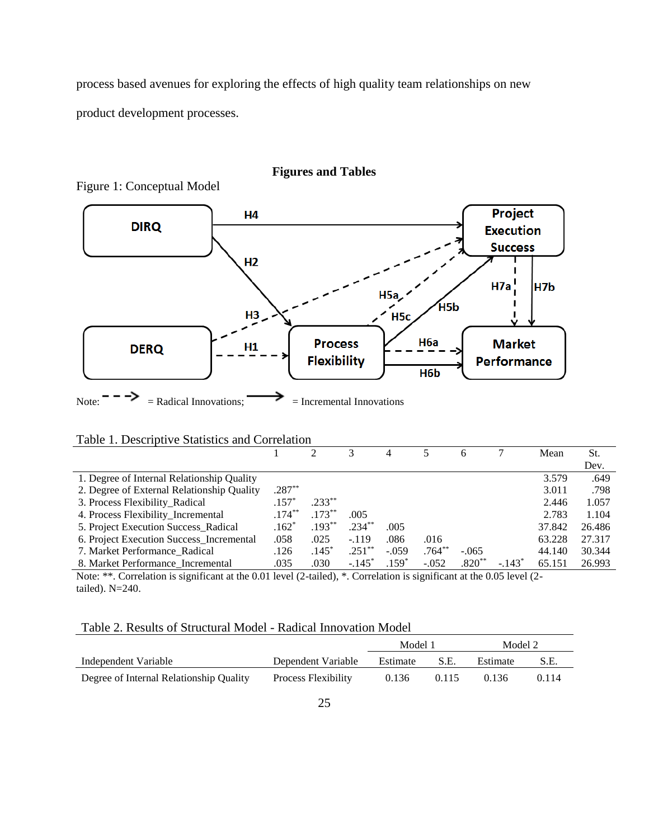process based avenues for exploring the effects of high quality team relationships on new product development processes.



**Figures and Tables** 

Figure 1: Conceptual Model

|                                            |           |           |           |         |           | 6        |          | Mean   | St.    |
|--------------------------------------------|-----------|-----------|-----------|---------|-----------|----------|----------|--------|--------|
|                                            |           |           |           |         |           |          |          |        | Dev.   |
| 1. Degree of Internal Relationship Quality |           |           |           |         |           |          |          | 3.579  | .649   |
| 2. Degree of External Relationship Quality | $.287**$  |           |           |         |           |          |          | 3.011  | .798   |
| 3. Process Flexibility_Radical             | .157      | $.233**$  |           |         |           |          |          | 2.446  | 1.057  |
| 4. Process Flexibility_Incremental         | $.174***$ | $.173***$ | .005      |         |           |          |          | 2.783  | 1.104  |
| 5. Project Execution Success_Radical       | $.162*$   | $.193**$  | $.234***$ | .005    |           |          |          | 37.842 | 26.486 |
| 6. Project Execution Success_Incremental   | .058      | .025      | $-119$    | .086    | .016      |          |          | 63.228 | 27.317 |
| 7. Market Performance Radical              | .126      | $.145*$   | $.251***$ | $-.059$ | $.764***$ | $-.065$  |          | 44.140 | 30.344 |
| 8. Market Performance Incremental          | .035      | .030      | $-.145^*$ | $.159*$ | $-.052$   | $.820**$ | $-.143*$ | 65.151 | 26.993 |

Note: \*\*. Correlation is significant at the 0.01 level (2-tailed), \*. Correlation is significant at the 0.05 level (2 tailed). N=240.

## Table 2. Results of Structural Model - Radical Innovation Model

|                                         |                     | Model 1  |       | Model 2  |       |
|-----------------------------------------|---------------------|----------|-------|----------|-------|
| Independent Variable                    | Dependent Variable  | Estimate | -S.E. | Estimate | S.E.  |
| Degree of Internal Relationship Quality | Process Flexibility | 0.136    | 0.115 | 0.136    | 0.114 |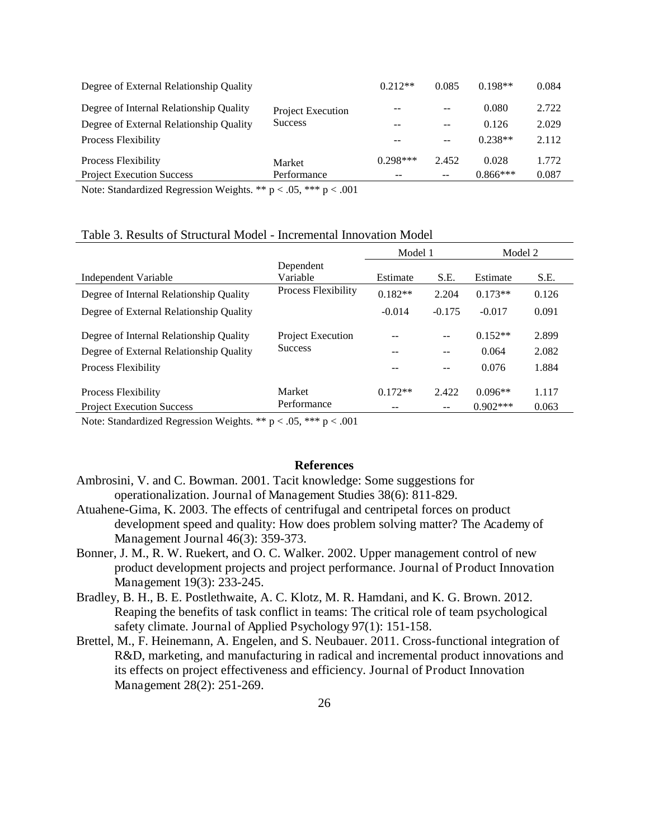| Degree of External Relationship Quality |                          | $0.212**$  | 0.085 | $0.198**$  | 0.084 |
|-----------------------------------------|--------------------------|------------|-------|------------|-------|
| Degree of Internal Relationship Quality | <b>Project Execution</b> | --         | $- -$ | 0.080      | 2.722 |
| Degree of External Relationship Quality | <b>Success</b>           | --         | --    | 0.126      | 2.029 |
| Process Flexibility                     |                          | --         |       | $0.238**$  | 2.112 |
| Process Flexibility                     | Market                   | $0.298***$ | 2.452 | 0.028      | 1.772 |
| <b>Project Execution Success</b>        | Performance              | --         | $- -$ | $0.866***$ | 0.087 |
|                                         |                          |            |       |            |       |

Note: Standardized Regression Weights. \*\*  $p < .05$ , \*\*\*  $p < .001$ 

#### Table 3. Results of Structural Model - Incremental Innovation Model

|                                                                |                            | Model 1   |                | Model 2                 |                |
|----------------------------------------------------------------|----------------------------|-----------|----------------|-------------------------|----------------|
| Independent Variable                                           | Dependent<br>Variable      | Estimate  | S.E.           | Estimate                | S.E.           |
| Degree of Internal Relationship Quality                        | <b>Process Flexibility</b> | $0.182**$ | 2.204          | $0.173**$               | 0.126          |
| Degree of External Relationship Quality                        |                            | $-0.014$  | $-0.175$       | $-0.017$                | 0.091          |
| Degree of Internal Relationship Quality                        | <b>Project Execution</b>   |           | $- -$          | $0.152**$               | 2.899          |
| Degree of External Relationship Quality                        | <b>Success</b>             |           | $- -$          | 0.064                   | 2.082          |
| <b>Process Flexibility</b>                                     |                            |           |                | 0.076                   | 1.884          |
| <b>Process Flexibility</b><br><b>Project Execution Success</b> | Market<br>Performance      | $0.172**$ | 2.422<br>$- -$ | $0.096**$<br>$0.902***$ | 1.117<br>0.063 |

Note: Standardized Regression Weights. \*\*  $p < .05$ , \*\*\*  $p < .001$ 

#### **References**

- Ambrosini, V. and C. Bowman. 2001. Tacit knowledge: Some suggestions for operationalization. Journal of Management Studies 38(6): 811-829.
- Atuahene-Gima, K. 2003. The effects of centrifugal and centripetal forces on product development speed and quality: How does problem solving matter? The Academy of Management Journal 46(3): 359-373.
- Bonner, J. M., R. W. Ruekert, and O. C. Walker. 2002. Upper management control of new product development projects and project performance. Journal of Product Innovation Management 19(3): 233-245.
- Bradley, B. H., B. E. Postlethwaite, A. C. Klotz, M. R. Hamdani, and K. G. Brown. 2012. Reaping the benefits of task conflict in teams: The critical role of team psychological safety climate. Journal of Applied Psychology 97(1): 151-158.
- Brettel, M., F. Heinemann, A. Engelen, and S. Neubauer. 2011. Cross-functional integration of R&D, marketing, and manufacturing in radical and incremental product innovations and its effects on project effectiveness and efficiency. Journal of Product Innovation Management 28(2): 251-269.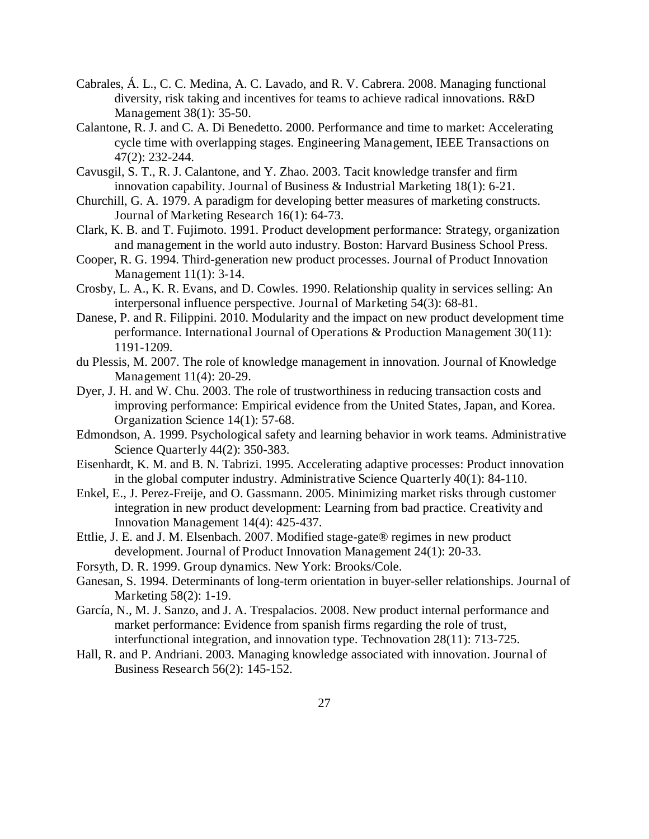- Cabrales, Á. L., C. C. Medina, A. C. Lavado, and R. V. Cabrera. 2008. Managing functional diversity, risk taking and incentives for teams to achieve radical innovations. R&D Management 38(1): 35-50.
- Calantone, R. J. and C. A. Di Benedetto. 2000. Performance and time to market: Accelerating cycle time with overlapping stages. Engineering Management, IEEE Transactions on 47(2): 232-244.
- Cavusgil, S. T., R. J. Calantone, and Y. Zhao. 2003. Tacit knowledge transfer and firm innovation capability. Journal of Business & Industrial Marketing 18(1): 6-21.
- Churchill, G. A. 1979. A paradigm for developing better measures of marketing constructs. Journal of Marketing Research 16(1): 64-73.
- Clark, K. B. and T. Fujimoto. 1991. Product development performance: Strategy, organization and management in the world auto industry. Boston: Harvard Business School Press.
- Cooper, R. G. 1994. Third-generation new product processes. Journal of Product Innovation Management 11(1): 3-14.
- Crosby, L. A., K. R. Evans, and D. Cowles. 1990. Relationship quality in services selling: An interpersonal influence perspective. Journal of Marketing 54(3): 68-81.
- Danese, P. and R. Filippini. 2010. Modularity and the impact on new product development time performance. International Journal of Operations & Production Management 30(11): 1191-1209.
- du Plessis, M. 2007. The role of knowledge management in innovation. Journal of Knowledge Management 11(4): 20-29.
- Dyer, J. H. and W. Chu. 2003. The role of trustworthiness in reducing transaction costs and improving performance: Empirical evidence from the United States, Japan, and Korea. Organization Science 14(1): 57-68.
- Edmondson, A. 1999. Psychological safety and learning behavior in work teams. Administrative Science Quarterly 44(2): 350-383.
- Eisenhardt, K. M. and B. N. Tabrizi. 1995. Accelerating adaptive processes: Product innovation in the global computer industry. Administrative Science Quarterly 40(1): 84-110.
- Enkel, E., J. Perez-Freije, and O. Gassmann. 2005. Minimizing market risks through customer integration in new product development: Learning from bad practice. Creativity and Innovation Management 14(4): 425-437.
- Ettlie, J. E. and J. M. Elsenbach. 2007. Modified stage-gate® regimes in new product development. Journal of Product Innovation Management 24(1): 20-33.
- Forsyth, D. R. 1999. Group dynamics. New York: Brooks/Cole.
- Ganesan, S. 1994. Determinants of long-term orientation in buyer-seller relationships. Journal of Marketing 58(2): 1-19.
- García, N., M. J. Sanzo, and J. A. Trespalacios. 2008. New product internal performance and market performance: Evidence from spanish firms regarding the role of trust, interfunctional integration, and innovation type. Technovation 28(11): 713-725.
- Hall, R. and P. Andriani. 2003. Managing knowledge associated with innovation. Journal of Business Research 56(2): 145-152.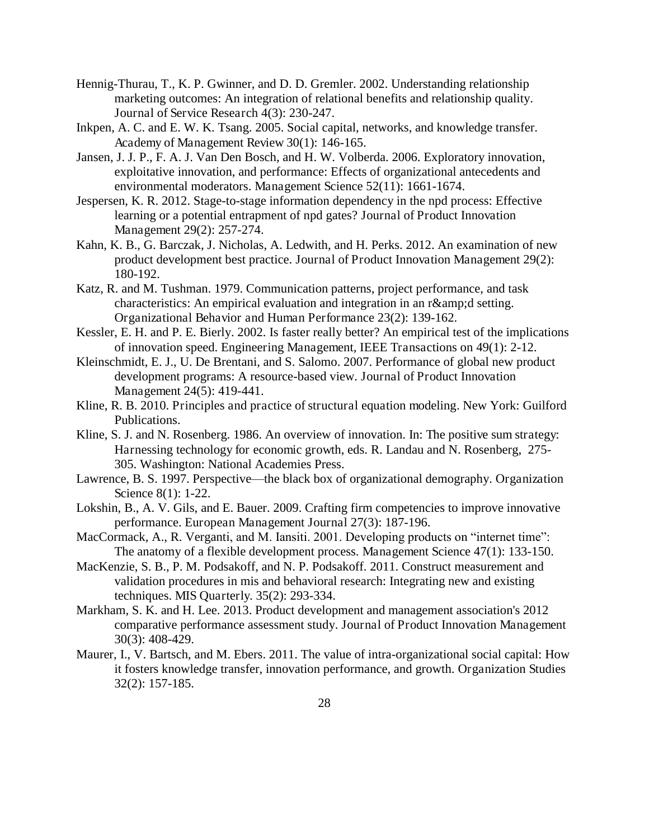- Hennig-Thurau, T., K. P. Gwinner, and D. D. Gremler. 2002. Understanding relationship marketing outcomes: An integration of relational benefits and relationship quality. Journal of Service Research 4(3): 230-247.
- Inkpen, A. C. and E. W. K. Tsang. 2005. Social capital, networks, and knowledge transfer. Academy of Management Review 30(1): 146-165.
- Jansen, J. J. P., F. A. J. Van Den Bosch, and H. W. Volberda. 2006. Exploratory innovation, exploitative innovation, and performance: Effects of organizational antecedents and environmental moderators. Management Science 52(11): 1661-1674.
- Jespersen, K. R. 2012. Stage-to-stage information dependency in the npd process: Effective learning or a potential entrapment of npd gates? Journal of Product Innovation Management 29(2): 257-274.
- Kahn, K. B., G. Barczak, J. Nicholas, A. Ledwith, and H. Perks. 2012. An examination of new product development best practice. Journal of Product Innovation Management 29(2): 180-192.
- Katz, R. and M. Tushman. 1979. Communication patterns, project performance, and task characteristics: An empirical evaluation and integration in an r& d setting. Organizational Behavior and Human Performance 23(2): 139-162.
- Kessler, E. H. and P. E. Bierly. 2002. Is faster really better? An empirical test of the implications of innovation speed. Engineering Management, IEEE Transactions on 49(1): 2-12.
- Kleinschmidt, E. J., U. De Brentani, and S. Salomo. 2007. Performance of global new product development programs: A resource-based view. Journal of Product Innovation Management 24(5): 419-441.
- Kline, R. B. 2010. Principles and practice of structural equation modeling. New York: Guilford Publications.
- Kline, S. J. and N. Rosenberg. 1986. An overview of innovation. In: The positive sum strategy: Harnessing technology for economic growth, eds. R. Landau and N. Rosenberg, 275- 305. Washington: National Academies Press.
- Lawrence, B. S. 1997. Perspective—the black box of organizational demography. Organization Science 8(1): 1-22.
- Lokshin, B., A. V. Gils, and E. Bauer. 2009. Crafting firm competencies to improve innovative performance. European Management Journal 27(3): 187-196.
- MacCormack, A., R. Verganti, and M. Iansiti. 2001. Developing products on "internet time": The anatomy of a flexible development process. Management Science 47(1): 133-150.
- MacKenzie, S. B., P. M. Podsakoff, and N. P. Podsakoff. 2011. Construct measurement and validation procedures in mis and behavioral research: Integrating new and existing techniques. MIS Quarterly. 35(2): 293-334.
- Markham, S. K. and H. Lee. 2013. Product development and management association's 2012 comparative performance assessment study. Journal of Product Innovation Management 30(3): 408-429.
- Maurer, I., V. Bartsch, and M. Ebers. 2011. The value of intra-organizational social capital: How it fosters knowledge transfer, innovation performance, and growth. Organization Studies 32(2): 157-185.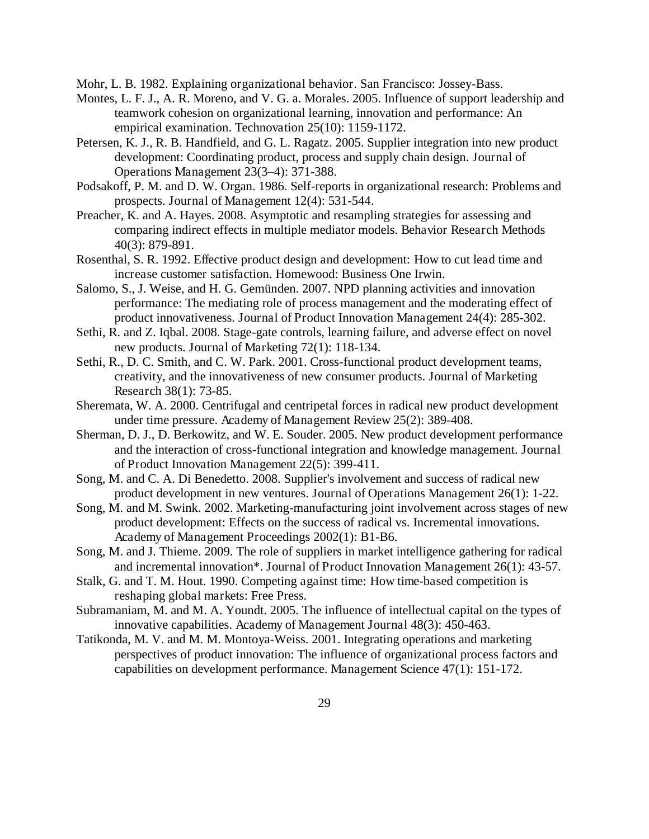Mohr, L. B. 1982. Explaining organizational behavior. San Francisco: Jossey-Bass.

- Montes, L. F. J., A. R. Moreno, and V. G. a. Morales. 2005. Influence of support leadership and teamwork cohesion on organizational learning, innovation and performance: An empirical examination. Technovation 25(10): 1159-1172.
- Petersen, K. J., R. B. Handfield, and G. L. Ragatz. 2005. Supplier integration into new product development: Coordinating product, process and supply chain design. Journal of Operations Management 23(3–4): 371-388.
- Podsakoff, P. M. and D. W. Organ. 1986. Self-reports in organizational research: Problems and prospects. Journal of Management 12(4): 531-544.
- Preacher, K. and A. Hayes. 2008. Asymptotic and resampling strategies for assessing and comparing indirect effects in multiple mediator models. Behavior Research Methods 40(3): 879-891.
- Rosenthal, S. R. 1992. Effective product design and development: How to cut lead time and increase customer satisfaction. Homewood: Business One Irwin.
- Salomo, S., J. Weise, and H. G. Gemünden. 2007. NPD planning activities and innovation performance: The mediating role of process management and the moderating effect of product innovativeness. Journal of Product Innovation Management 24(4): 285-302.
- Sethi, R. and Z. Iqbal. 2008. Stage-gate controls, learning failure, and adverse effect on novel new products. Journal of Marketing 72(1): 118-134.
- Sethi, R., D. C. Smith, and C. W. Park. 2001. Cross-functional product development teams, creativity, and the innovativeness of new consumer products. Journal of Marketing Research 38(1): 73-85.
- Sheremata, W. A. 2000. Centrifugal and centripetal forces in radical new product development under time pressure. Academy of Management Review 25(2): 389-408.
- Sherman, D. J., D. Berkowitz, and W. E. Souder. 2005. New product development performance and the interaction of cross-functional integration and knowledge management. Journal of Product Innovation Management 22(5): 399-411.
- Song, M. and C. A. Di Benedetto. 2008. Supplier's involvement and success of radical new product development in new ventures. Journal of Operations Management 26(1): 1-22.
- Song, M. and M. Swink. 2002. Marketing-manufacturing joint involvement across stages of new product development: Effects on the success of radical vs. Incremental innovations. Academy of Management Proceedings 2002(1): B1-B6.
- Song, M. and J. Thieme. 2009. The role of suppliers in market intelligence gathering for radical and incremental innovation\*. Journal of Product Innovation Management 26(1): 43-57.
- Stalk, G. and T. M. Hout. 1990. Competing against time: How time-based competition is reshaping global markets: Free Press.
- Subramaniam, M. and M. A. Youndt. 2005. The influence of intellectual capital on the types of innovative capabilities. Academy of Management Journal 48(3): 450-463.
- Tatikonda, M. V. and M. M. Montoya-Weiss. 2001. Integrating operations and marketing perspectives of product innovation: The influence of organizational process factors and capabilities on development performance. Management Science 47(1): 151-172.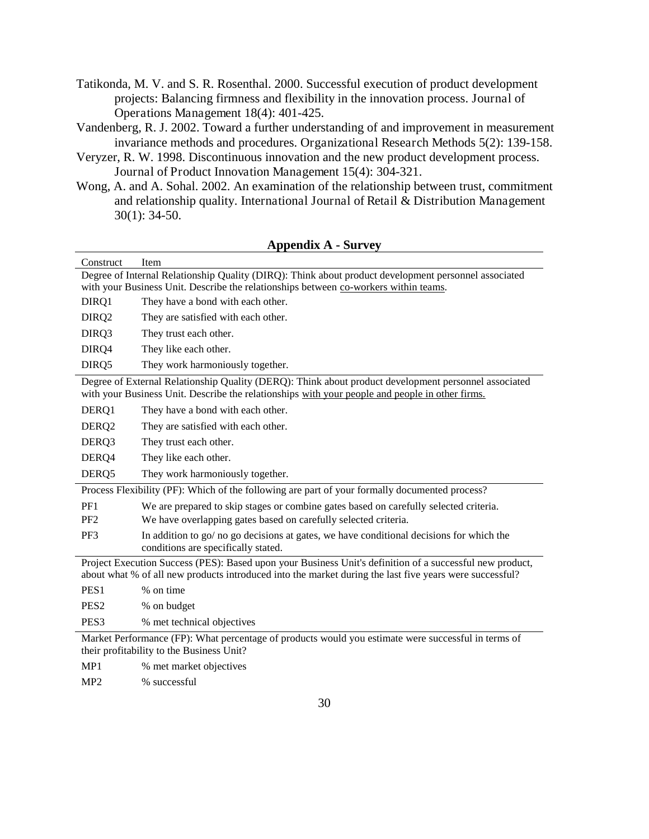- Tatikonda, M. V. and S. R. Rosenthal. 2000. Successful execution of product development projects: Balancing firmness and flexibility in the innovation process. Journal of Operations Management 18(4): 401-425.
- Vandenberg, R. J. 2002. Toward a further understanding of and improvement in measurement invariance methods and procedures. Organizational Research Methods 5(2): 139-158.
- Veryzer, R. W. 1998. Discontinuous innovation and the new product development process. Journal of Product Innovation Management 15(4): 304-321.
- Wong, A. and A. Sohal. 2002. An examination of the relationship between trust, commitment and relationship quality. International Journal of Retail & Distribution Management 30(1): 34-50.

|                                                                                      | $\mu$                                                                                                                                                                                                               |  |  |  |  |
|--------------------------------------------------------------------------------------|---------------------------------------------------------------------------------------------------------------------------------------------------------------------------------------------------------------------|--|--|--|--|
| Construct                                                                            | <b>Item</b>                                                                                                                                                                                                         |  |  |  |  |
|                                                                                      | Degree of Internal Relationship Quality (DIRQ): Think about product development personnel associated                                                                                                                |  |  |  |  |
| with your Business Unit. Describe the relationships between co-workers within teams. |                                                                                                                                                                                                                     |  |  |  |  |
| DIRQ1                                                                                | They have a bond with each other.                                                                                                                                                                                   |  |  |  |  |
| DIRQ <sub>2</sub>                                                                    | They are satisfied with each other.                                                                                                                                                                                 |  |  |  |  |
| DIRQ3                                                                                | They trust each other.                                                                                                                                                                                              |  |  |  |  |
| DIRQ4                                                                                | They like each other.                                                                                                                                                                                               |  |  |  |  |
| DIRQ5                                                                                | They work harmoniously together.                                                                                                                                                                                    |  |  |  |  |
|                                                                                      | Degree of External Relationship Quality (DERQ): Think about product development personnel associated<br>with your Business Unit. Describe the relationships with your people and people in other firms.             |  |  |  |  |
| DERQ1                                                                                | They have a bond with each other.                                                                                                                                                                                   |  |  |  |  |
| DERQ <sub>2</sub>                                                                    | They are satisfied with each other.                                                                                                                                                                                 |  |  |  |  |
| DERQ3                                                                                | They trust each other.                                                                                                                                                                                              |  |  |  |  |
| DERQ4                                                                                | They like each other.                                                                                                                                                                                               |  |  |  |  |
| DERQ5                                                                                | They work harmoniously together.                                                                                                                                                                                    |  |  |  |  |
|                                                                                      | Process Flexibility (PF): Which of the following are part of your formally documented process?                                                                                                                      |  |  |  |  |
| PF1                                                                                  | We are prepared to skip stages or combine gates based on carefully selected criteria.                                                                                                                               |  |  |  |  |
| PF <sub>2</sub>                                                                      | We have overlapping gates based on carefully selected criteria.                                                                                                                                                     |  |  |  |  |
| PF3                                                                                  | In addition to go/ no go decisions at gates, we have conditional decisions for which the<br>conditions are specifically stated.                                                                                     |  |  |  |  |
|                                                                                      | Project Execution Success (PES): Based upon your Business Unit's definition of a successful new product,<br>about what % of all new products introduced into the market during the last five years were successful? |  |  |  |  |
| PES1                                                                                 | % on time                                                                                                                                                                                                           |  |  |  |  |
| PES <sub>2</sub>                                                                     | % on budget                                                                                                                                                                                                         |  |  |  |  |
| PES <sub>3</sub>                                                                     | % met technical objectives                                                                                                                                                                                          |  |  |  |  |
|                                                                                      | Market Performance (FP): What percentage of products would you estimate were successful in terms of                                                                                                                 |  |  |  |  |

#### **Appendix A - Survey**

their profitability to the Business Unit?

MP1 % met market objectives

MP2 % successful